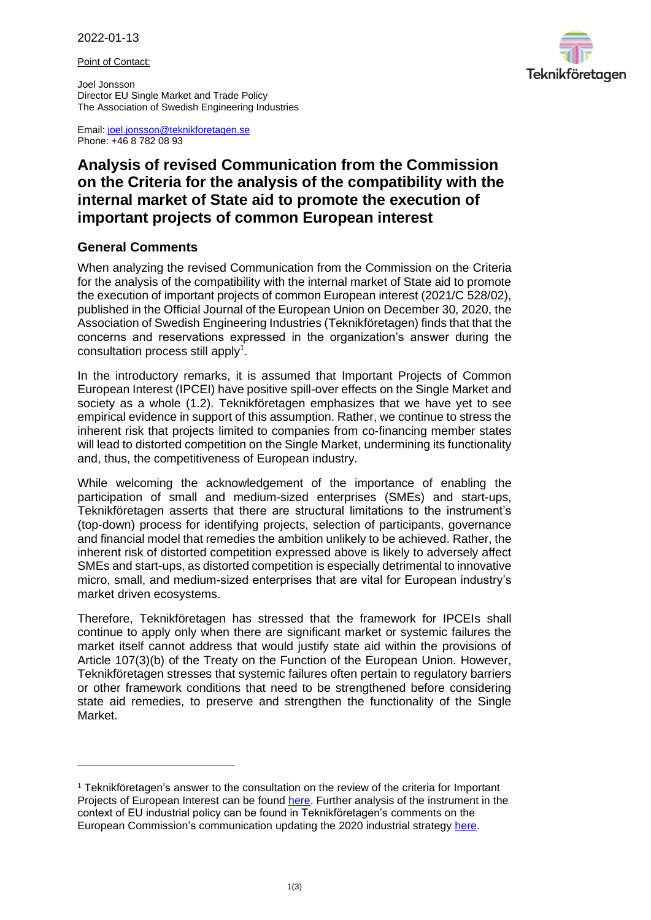Point of Contact:

Joel Jonsson Director EU Single Market and Trade Policy The Association of Swedish Engineering Industries Teknikföretagen

Email: [joel.jonsson@teknikforetagen.se](mailto:joel.jonsson@teknikforetagen.se) Phone: +46 8 782 08 93

## **Analysis of revised Communication from the Commission on the Criteria for the analysis of the compatibility with the internal market of State aid to promote the execution of important projects of common European interest**

## **General Comments**

When analyzing the revised Communication from the Commission on the Criteria for the analysis of the compatibility with the internal market of State aid to promote the execution of important projects of common European interest (2021/C 528/02), published in the Official Journal of the European Union on December 30, 2020, the Association of Swedish Engineering Industries (Teknikföretagen) finds that that the concerns and reservations expressed in the organization's answer during the consultation process still apply<sup>1</sup>.

In the introductory remarks, it is assumed that Important Projects of Common European Interest (IPCEI) have positive spill-over effects on the Single Market and society as a whole (1.2). Teknikföretagen emphasizes that we have yet to see empirical evidence in support of this assumption. Rather, we continue to stress the inherent risk that projects limited to companies from co-financing member states will lead to distorted competition on the Single Market, undermining its functionality and, thus, the competitiveness of European industry.

While welcoming the acknowledgement of the importance of enabling the participation of small and medium-sized enterprises (SMEs) and start-ups, Teknikföretagen asserts that there are structural limitations to the instrument's (top-down) process for identifying projects, selection of participants, governance and financial model that remedies the ambition unlikely to be achieved. Rather, the inherent risk of distorted competition expressed above is likely to adversely affect SMEs and start-ups, as distorted competition is especially detrimental to innovative micro, small, and medium-sized enterprises that are vital for European industry's market driven ecosystems.

Therefore, Teknikföretagen has stressed that the framework for IPCEIs shall continue to apply only when there are significant market or systemic failures the market itself cannot address that would justify state aid within the provisions of Article 107(3)(b) of the Treaty on the Function of the European Union. However, Teknikföretagen stresses that systemic failures often pertain to regulatory barriers or other framework conditions that need to be strengthened before considering state aid remedies, to preserve and strengthen the functionality of the Single Market.

<sup>1</sup> Teknikföretagen's answer to the consultation on the review of the criteria for Important Projects of European Interest can be found [here.](https://www.teknikforetagen.se/globalassets/news/dokument/teknikforetagen-answer-to-ipcei-consultation-2021-04-15.pdf) Further analysis of the instrument in the context of EU industrial policy can be found in Teknikföretagen's comments on the European Commission's communication updating the 2020 industrial strategy [here.](https://www.teknikforetagen.se/globalassets/news/dokument/teknikforetagen-comments-on-ec-updated-industrial-strategy-2021-06-17.pdf)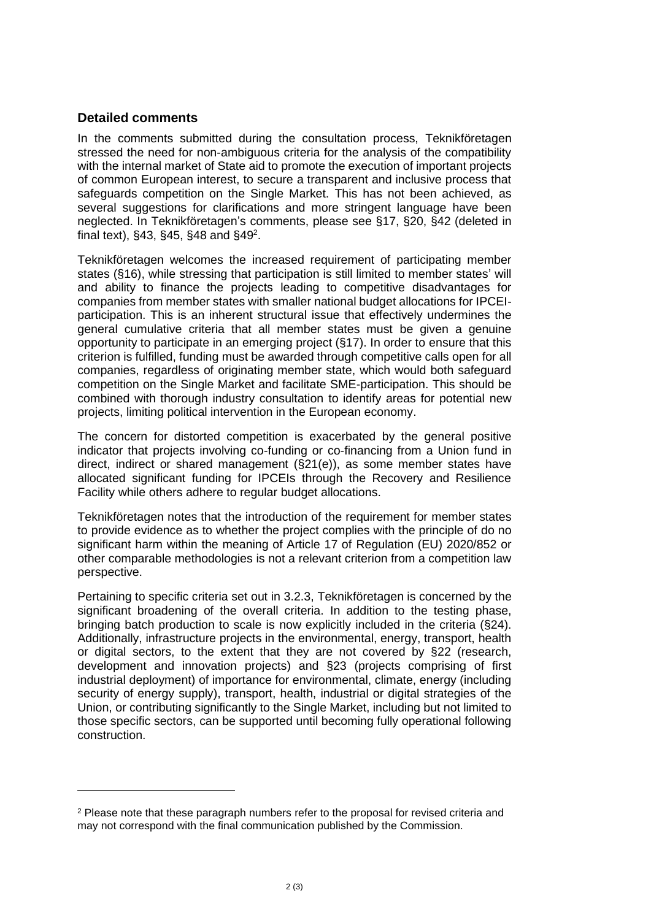## **Detailed comments**

In the comments submitted during the consultation process, Teknikföretagen stressed the need for non-ambiguous criteria for the analysis of the compatibility with the internal market of State aid to promote the execution of important projects of common European interest, to secure a transparent and inclusive process that safeguards competition on the Single Market. This has not been achieved, as several suggestions for clarifications and more stringent language have been neglected. In Teknikföretagen's comments, please see §17, §20, §42 (deleted in final text), §43, §45, §48 and §49<sup>2</sup>.

Teknikföretagen welcomes the increased requirement of participating member states (§16), while stressing that participation is still limited to member states' will and ability to finance the projects leading to competitive disadvantages for companies from member states with smaller national budget allocations for IPCEIparticipation. This is an inherent structural issue that effectively undermines the general cumulative criteria that all member states must be given a genuine opportunity to participate in an emerging project (§17). In order to ensure that this criterion is fulfilled, funding must be awarded through competitive calls open for all companies, regardless of originating member state, which would both safeguard competition on the Single Market and facilitate SME-participation. This should be combined with thorough industry consultation to identify areas for potential new projects, limiting political intervention in the European economy.

The concern for distorted competition is exacerbated by the general positive indicator that projects involving co-funding or co-financing from a Union fund in direct, indirect or shared management (§21(e)), as some member states have allocated significant funding for IPCEIs through the Recovery and Resilience Facility while others adhere to regular budget allocations.

Teknikföretagen notes that the introduction of the requirement for member states to provide evidence as to whether the project complies with the principle of do no significant harm within the meaning of Article 17 of Regulation (EU) 2020/852 or other comparable methodologies is not a relevant criterion from a competition law perspective.

Pertaining to specific criteria set out in 3.2.3, Teknikföretagen is concerned by the significant broadening of the overall criteria. In addition to the testing phase, bringing batch production to scale is now explicitly included in the criteria (§24). Additionally, infrastructure projects in the environmental, energy, transport, health or digital sectors, to the extent that they are not covered by §22 (research, development and innovation projects) and §23 (projects comprising of first industrial deployment) of importance for environmental, climate, energy (including security of energy supply), transport, health, industrial or digital strategies of the Union, or contributing significantly to the Single Market, including but not limited to those specific sectors, can be supported until becoming fully operational following construction.

<sup>2</sup> Please note that these paragraph numbers refer to the proposal for revised criteria and may not correspond with the final communication published by the Commission.